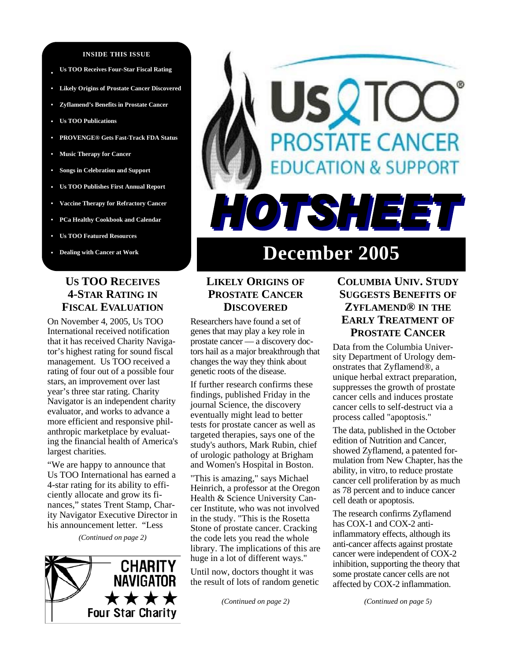#### **INSIDE THIS ISSUE**

- **Us TOO Receives Four-Star Fiscal Rating**
- **• Likely Origins of Prostate Cancer Discovered**
- **• Zyflamend's Benefits in Prostate Cancer**
- **• Us TOO Publications**
- **• PROVENGE® Gets Fast-Track FDA Status**
- **• Music Therapy for Cancer**
- **• Songs in Celebration and Support**
- **• Us TOO Publishes First Annual Report**
- **• Vaccine Therapy for Refractory Cancer**
- **• PCa Healthy Cookbook and Calendar**
- **• Us TOO Featured Resources**
- **• Dealing with Cancer at Work**

## **US TOO RECEIVES 4-STAR RATING IN FISCAL EVALUATION**

On November 4, 2005, Us TOO International received notification that it has received Charity Navigator's highest rating for sound fiscal management. Us TOO received a rating of four out of a possible four stars, an improvement over last year's three star rating. Charity Navigator is an independent charity evaluator, and works to advance a more efficient and responsive philanthropic marketplace by evaluating the financial health of America's largest charities.

"We are happy to announce that Us TOO International has earned a 4-star rating for its ability to efficiently allocate and grow its finances," states Trent Stamp, Charity Navigator Executive Director in his announcement letter. "Less

*(Continued on page 2)* 





# **December 2005**

## **LIKELY ORIGINS OF PROSTATE CANCER DISCOVERED**

Researchers have found a set of genes that may play a key role in prostate cancer — a discovery doctors hail as a major breakthrough that changes the way they think about genetic roots of the disease.

If further research confirms these findings, published Friday in the journal Science, the discovery eventually might lead to better tests for prostate cancer as well as targeted therapies, says one of the study's authors, Mark Rubin, chief of urologic pathology at Brigham and Women's Hospital in Boston.

"This is amazing," says Michael Heinrich, a professor at the Oregon Health & Science University Cancer Institute, who was not involved in the study. "This is the Rosetta Stone of prostate cancer. Cracking the code lets you read the whole library. The implications of this are huge in a lot of different ways."

Until now, doctors thought it was the result of lots of random genetic

*(Continued on page 2)* 

## **COLUMBIA UNIV. STUDY SUGGESTS BENEFITS OF ZYFLAMEND® IN THE EARLY TREATMENT OF PROSTATE CANCER**

Data from the Columbia University Department of Urology demonstrates that Zyflamend®, a unique herbal extract preparation, suppresses the growth of prostate cancer cells and induces prostate cancer cells to self-destruct via a process called "apoptosis."

The data, published in the October edition of Nutrition and Cancer, showed Zyflamend, a patented formulation from New Chapter, has the ability, in vitro, to reduce prostate cancer cell proliferation by as much as 78 percent and to induce cancer cell death or apoptosis.

The research confirms Zyflamend has COX-1 and COX-2 antiinflammatory effects, although its anti-cancer affects against prostate cancer were independent of COX-2 inhibition, supporting the theory that some prostate cancer cells are not affected by COX-2 inflammation.

*(Continued on page 5)*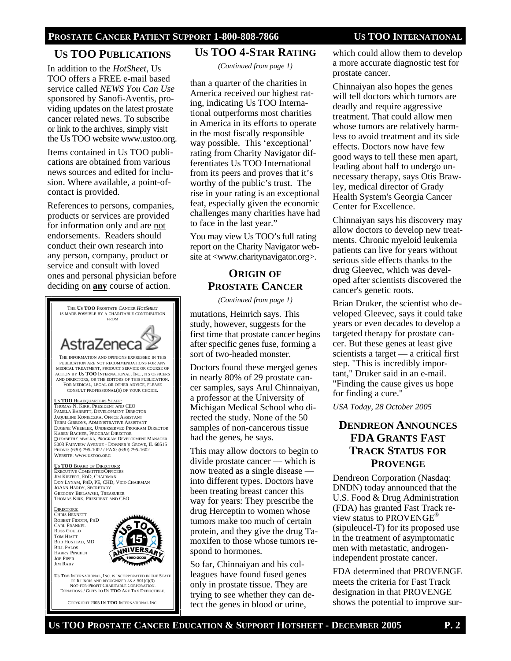## **US TOO PUBLICATIONS**

In addition to the *HotSheet*, Us TOO offers a FREE e-mail based service called *NEWS You Can Use*  sponsored by Sanofi-Aventis, providing updates on the latest prostate cancer related news. To subscribe or link to the archives, simply visit the Us TOO website www.ustoo.org.

Items contained in Us TOO publications are obtained from various news sources and edited for inclusion. Where available, a point-ofcontact is provided.

References to persons, companies, products or services are provided for information only and are not endorsements. Readers should conduct their own research into any person, company, product or service and consult with loved ones and personal physician before deciding on **any** course of action.



### **US TOO 4-STAR RATING**

*(Continued from page 1)* 

than a quarter of the charities in America received our highest rating, indicating Us TOO International outperforms most charities in America in its efforts to operate in the most fiscally responsible way possible. This 'exceptional' rating from Charity Navigator differentiates Us TOO International from its peers and proves that it's worthy of the public's trust. The rise in your rating is an exceptional feat, especially given the economic challenges many charities have had to face in the last year."

You may view Us TOO's full rating report on the Charity Navigator website at <www.charitynavigator.org>.

## **ORIGIN OF PROSTATE CANCER**

*(Continued from page 1)*

mutations, Heinrich says. This study, however, suggests for the first time that prostate cancer begins after specific genes fuse, forming a sort of two-headed monster.

Doctors found these merged genes in nearly 80% of 29 prostate cancer samples, says Arul Chinnaiyan, a professor at the University of Michigan Medical School who directed the study. None of the 50 samples of non-cancerous tissue had the genes, he says.

This may allow doctors to begin to divide prostate cancer — which is now treated as a single disease into different types. Doctors have been treating breast cancer this way for years: They prescribe the drug Herceptin to women whose tumors make too much of certain protein, and they give the drug Tamoxifen to those whose tumors respond to hormones.

So far, Chinnaiyan and his colleagues have found fused genes only in prostate tissue. They are trying to see whether they can detect the genes in blood or urine,

which could allow them to develop a more accurate diagnostic test for prostate cancer.

Chinnaiyan also hopes the genes will tell doctors which tumors are deadly and require aggressive treatment. That could allow men whose tumors are relatively harmless to avoid treatment and its side effects. Doctors now have few good ways to tell these men apart, leading about half to undergo unnecessary therapy, says Otis Brawley, medical director of Grady Health System's Georgia Cancer Center for Excellence.

Chinnaiyan says his discovery may allow doctors to develop new treatments. Chronic myeloid leukemia patients can live for years without serious side effects thanks to the drug Gleevec, which was developed after scientists discovered the cancer's genetic roots.

Brian Druker, the scientist who developed Gleevec, says it could take years or even decades to develop a targeted therapy for prostate cancer. But these genes at least give scientists a target — a critical first step. "This is incredibly important," Druker said in an e-mail. "Finding the cause gives us hope for finding a cure."

*USA Today, 28 October 2005* 

## **DENDREON ANNOUNCES FDA GRANTS FAST TRACK STATUS FOR PROVENGE**

Dendreon Corporation (Nasdaq: DNDN) today announced that the U.S. Food & Drug Administration (FDA) has granted Fast Track review status to PROVENGE® (sipuleucel-T) for its proposed use in the treatment of asymptomatic men with metastatic, androgenindependent prostate cancer.

FDA determined that PROVENGE meets the criteria for Fast Track designation in that PROVENGE shows the potential to improve sur-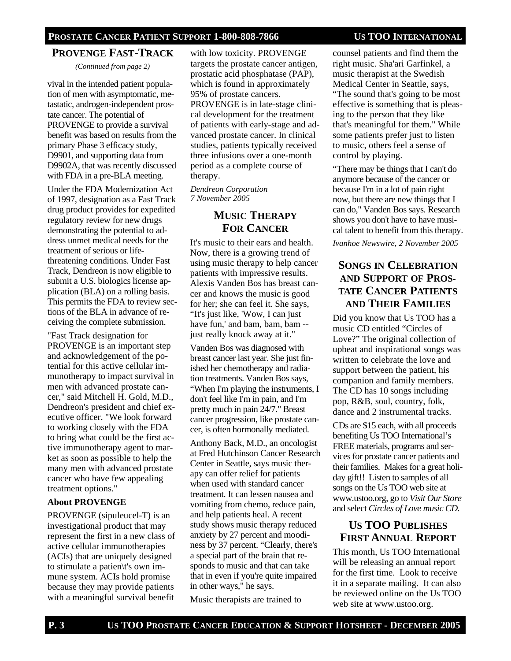## **PROVENGE FAST-TRACK**

*(Continued from page 2)* 

vival in the intended patient population of men with asymptomatic, metastatic, androgen-independent prostate cancer. The potential of PROVENGE to provide a survival benefit was based on results from the primary Phase 3 efficacy study, D9901, and supporting data from D9902A, that was recently discussed with FDA in a pre-BLA meeting.

Under the FDA Modernization Act of 1997, designation as a Fast Track drug product provides for expedited regulatory review for new drugs demonstrating the potential to address unmet medical needs for the treatment of serious or lifethreatening conditions. Under Fast Track, Dendreon is now eligible to submit a U.S. biologics license application (BLA) on a rolling basis. This permits the FDA to review sections of the BLA in advance of receiving the complete submission.

"Fast Track designation for PROVENGE is an important step and acknowledgement of the potential for this active cellular immunotherapy to impact survival in men with advanced prostate cancer," said Mitchell H. Gold, M.D., Dendreon's president and chief executive officer. "We look forward to working closely with the FDA to bring what could be the first active immunotherapy agent to market as soon as possible to help the many men with advanced prostate cancer who have few appealing treatment options."

#### **About PROVENGE**

PROVENGE (sipuleucel-T) is an investigational product that may represent the first in a new class of active cellular immunotherapies (ACIs) that are uniquely designed to stimulate a patien\t's own immune system. ACIs hold promise because they may provide patients with a meaningful survival benefit

with low toxicity. PROVENGE targets the prostate cancer antigen, prostatic acid phosphatase (PAP), which is found in approximately 95% of prostate cancers. PROVENGE is in late-stage clinical development for the treatment of patients with early-stage and advanced prostate cancer. In clinical studies, patients typically received three infusions over a one-month period as a complete course of therapy.

*Dendreon Corporation 7 November 2005* 

## **MUSIC THERAPY FOR CANCER**

It's music to their ears and health. Now, there is a growing trend of using music therapy to help cancer patients with impressive results. Alexis Vanden Bos has breast cancer and knows the music is good for her; she can feel it. She says, "It's just like, 'Wow, I can just have fun,' and bam, bam, bam -just really knock away at it."

Vanden Bos was diagnosed with breast cancer last year. She just finished her chemotherapy and radiation treatments. Vanden Bos says, "When I'm playing the instruments, I don't feel like I'm in pain, and I'm pretty much in pain 24/7." Breast cancer progression, like prostate cancer, is often hormonally mediated.

Anthony Back, M.D., an oncologist at Fred Hutchinson Cancer Research Center in Seattle, says music therapy can offer relief for patients when used with standard cancer treatment. It can lessen nausea and vomiting from chemo, reduce pain, and help patients heal. A recent study shows music therapy reduced anxiety by 27 percent and moodiness by 37 percent. "Clearly, there's a special part of the brain that responds to music and that can take that in even if you're quite impaired in other ways," he says.

Music therapists are trained to

counsel patients and find them the right music. Sha'ari Garfinkel, a music therapist at the Swedish Medical Center in Seattle, says, "The sound that's going to be most effective is something that is pleasing to the person that they like that's meaningful for them." While some patients prefer just to listen to music, others feel a sense of control by playing.

"There may be things that I can't do anymore because of the cancer or because I'm in a lot of pain right now, but there are new things that I can do," Vanden Bos says. Research shows you don't have to have musical talent to benefit from this therapy.

*Ivanhoe Newswire, 2 November 2005* 

## **SONGS IN CELEBRATION AND SUPPORT OF PROS-TATE CANCER PATIENTS AND THEIR FAMILIES**

Did you know that Us TOO has a music CD entitled "Circles of Love?" The original collection of upbeat and inspirational songs was written to celebrate the love and support between the patient, his companion and family members. The CD has 10 songs including pop, R&B, soul, country, folk, dance and 2 instrumental tracks.

CDs are \$15 each, with all proceeds benefiting Us TOO International's FREE materials, programs and services for prostate cancer patients and their families. Makes for a great holiday gift!! Listen to samples of all songs on the Us TOO web site at www.ustoo.org, go to *Visit Our Store* and select *Circles of Love music CD*.

## **US TOO PUBLISHES FIRST ANNUAL REPORT**

This month, Us TOO International will be releasing an annual report for the first time. Look to receive it in a separate mailing. It can also be reviewed online on the Us TOO web site at www.ustoo.org.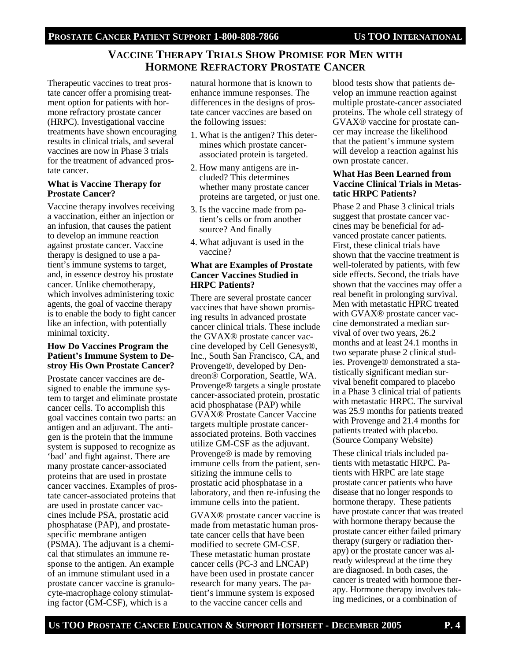## **VACCINE THERAPY TRIALS SHOW PROMISE FOR MEN WITH HORMONE REFRACTORY PROSTATE CANCER**

Therapeutic vaccines to treat prostate cancer offer a promising treatment option for patients with hormone refractory prostate cancer (HRPC). Investigational vaccine treatments have shown encouraging results in clinical trials, and several vaccines are now in Phase 3 trials for the treatment of advanced prostate cancer.

#### **What is Vaccine Therapy for Prostate Cancer?**

Vaccine therapy involves receiving a vaccination, either an injection or an infusion, that causes the patient to develop an immune reaction against prostate cancer. Vaccine therapy is designed to use a patient's immune systems to target, and, in essence destroy his prostate cancer. Unlike chemotherapy, which involves administering toxic agents, the goal of vaccine therapy is to enable the body to fight cancer like an infection, with potentially minimal toxicity.

#### **How Do Vaccines Program the Patient's Immune System to Destroy His Own Prostate Cancer?**

Prostate cancer vaccines are designed to enable the immune system to target and eliminate prostate cancer cells. To accomplish this goal vaccines contain two parts: an antigen and an adjuvant. The antigen is the protein that the immune system is supposed to recognize as 'bad' and fight against. There are many prostate cancer-associated proteins that are used in prostate cancer vaccines. Examples of prostate cancer-associated proteins that are used in prostate cancer vaccines include PSA, prostatic acid phosphatase (PAP), and prostatespecific membrane antigen (PSMA). The adjuvant is a chemical that stimulates an immune response to the antigen. An example of an immune stimulant used in a prostate cancer vaccine is granulocyte-macrophage colony stimulating factor (GM-CSF), which is a

natural hormone that is known to enhance immune responses. The differences in the designs of prostate cancer vaccines are based on the following issues:

- 1. What is the antigen? This determines which prostate cancerassociated protein is targeted.
- 2. How many antigens are included? This determines whether many prostate cancer proteins are targeted, or just one.
- 3. Is the vaccine made from patient's cells or from another source? And finally
- 4. What adjuvant is used in the vaccine?

#### **What are Examples of Prostate Cancer Vaccines Studied in HRPC Patients?**

There are several prostate cancer vaccines that have shown promising results in advanced prostate cancer clinical trials. These include the GVAX® prostate cancer vaccine developed by Cell Genesys®, Inc., South San Francisco, CA, and Provenge®, developed by Dendreon® Corporation, Seattle, WA. Provenge® targets a single prostate cancer-associated protein, prostatic acid phosphatase (PAP) while GVAX® Prostate Cancer Vaccine targets multiple prostate cancerassociated proteins. Both vaccines utilize GM-CSF as the adjuvant. Provenge® is made by removing immune cells from the patient, sensitizing the immune cells to prostatic acid phosphatase in a laboratory, and then re-infusing the immune cells into the patient.

GVAX® prostate cancer vaccine is made from metastatic human prostate cancer cells that have been modified to secrete GM-CSF. These metastatic human prostate cancer cells (PC-3 and LNCAP) have been used in prostate cancer research for many years. The patient's immune system is exposed to the vaccine cancer cells and

blood tests show that patients develop an immune reaction against multiple prostate-cancer associated proteins. The whole cell strategy of GVAX® vaccine for prostate cancer may increase the likelihood that the patient's immune system will develop a reaction against his own prostate cancer.

#### **What Has Been Learned from Vaccine Clinical Trials in Metastatic HRPC Patients?**

Phase 2 and Phase 3 clinical trials suggest that prostate cancer vaccines may be beneficial for advanced prostate cancer patients. First, these clinical trials have shown that the vaccine treatment is well-tolerated by patients, with few side effects. Second, the trials have shown that the vaccines may offer a real benefit in prolonging survival. Men with metastatic HPRC treated with GVAX<sup>®</sup> prostate cancer vaccine demonstrated a median survival of over two years, 26.2 months and at least 24.1 months in two separate phase 2 clinical studies. Provenge® demonstrated a statistically significant median survival benefit compared to placebo in a Phase 3 clinical trial of patients with metastatic HRPC. The survival was 25.9 months for patients treated with Provenge and 21.4 months for patients treated with placebo. (Source Company Website)

These clinical trials included patients with metastatic HRPC. Patients with HRPC are late stage prostate cancer patients who have disease that no longer responds to hormone therapy. These patients have prostate cancer that was treated with hormone therapy because the prostate cancer either failed primary therapy (surgery or radiation therapy) or the prostate cancer was already widespread at the time they are diagnosed. In both cases, the cancer is treated with hormone therapy. Hormone therapy involves taking medicines, or a combination of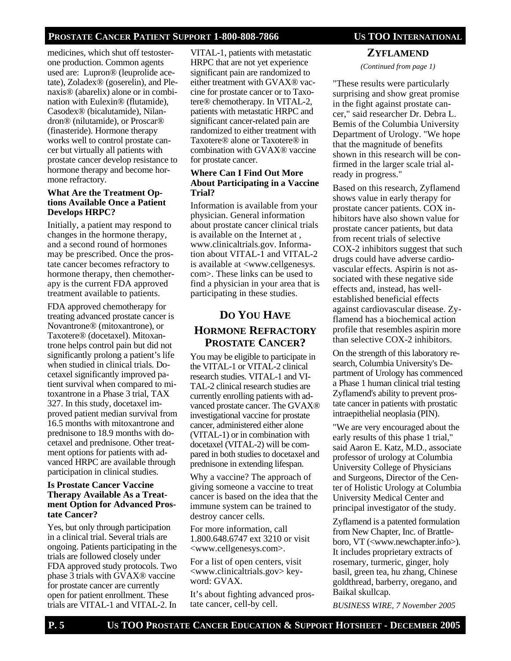medicines, which shut off testosterone production. Common agents used are: Lupron® (leuprolide acetate), Zoladex® (goserelin), and Plenaxis® (abarelix) alone or in combination with Eulexin® (flutamide), Casodex® (bicalutamide), Nilandron® (nilutamide), or Proscar® (finasteride). Hormone therapy works well to control prostate cancer but virtually all patients with prostate cancer develop resistance to hormone therapy and become hormone refractory.

#### **What Are the Treatment Options Available Once a Patient Develops HRPC?**

Initially, a patient may respond to changes in the hormone therapy, and a second round of hormones may be prescribed. Once the prostate cancer becomes refractory to hormone therapy, then chemotherapy is the current FDA approved treatment available to patients.

FDA approved chemotherapy for treating advanced prostate cancer is Novantrone® (mitoxantrone), or Taxotere® (docetaxel). Mitoxantrone helps control pain but did not significantly prolong a patient's life when studied in clinical trials. Docetaxel significantly improved patient survival when compared to mitoxantrone in a Phase 3 trial, TAX 327. In this study, docetaxel improved patient median survival from 16.5 months with mitoxantrone and prednisone to 18.9 months with docetaxel and prednisone. Other treatment options for patients with advanced HRPC are available through participation in clinical studies.

#### **Is Prostate Cancer Vaccine Therapy Available As a Treatment Option for Advanced Prostate Cancer?**

Yes, but only through participation in a clinical trial. Several trials are ongoing. Patients participating in the trials are followed closely under FDA approved study protocols. Two phase 3 trials with GVAX® vaccine for prostate cancer are currently open for patient enrollment. These trials are VITAL-1 and VITAL-2. In

VITAL-1, patients with metastatic HRPC that are not yet experience significant pain are randomized to either treatment with GVAX® vaccine for prostate cancer or to Taxotere® chemotherapy. In VITAL-2, patients with metastatic HRPC and significant cancer-related pain are randomized to either treatment with Taxotere® alone or Taxotere® in combination with GVAX® vaccine for prostate cancer.

#### **Where Can I Find Out More About Participating in a Vaccine Trial?**

Information is available from your physician. General information about prostate cancer clinical trials is available on the Internet at , www.clinicaltrials.gov. Information about VITAL-1 and VITAL-2 is available at <www.cellgenesys. com>. These links can be used to find a physician in your area that is participating in these studies.

## **DO YOU HAVE HORMONE REFRACTORY PROSTATE CANCER?**

You may be eligible to participate in the VITAL-1 or VITAL-2 clinical research studies. VITAL-1 and VI-TAL-2 clinical research studies are currently enrolling patients with advanced prostate cancer. The GVAX® investigational vaccine for prostate cancer, administered either alone (VITAL-1) or in combination with docetaxel (VITAL-2) will be compared in both studies to docetaxel and prednisone in extending lifespan.

Why a vaccine? The approach of giving someone a vaccine to treat cancer is based on the idea that the immune system can be trained to destroy cancer cells.

For more information, call 1.800.648.6747 ext 3210 or visit <www.cellgenesys.com>.

For a list of open centers, visit <www.clinicaltrials.gov> keyword: GVAX.

It's about fighting advanced prostate cancer, cell-by cell.

## **ZYFLAMEND** *(Continued from page 1)*

"These results were particularly surprising and show great promise in the fight against prostate cancer," said researcher Dr. Debra L. Bemis of the Columbia University Department of Urology. "We hope that the magnitude of benefits shown in this research will be confirmed in the larger scale trial already in progress."

Based on this research, Zyflamend shows value in early therapy for prostate cancer patients. COX inhibitors have also shown value for prostate cancer patients, but data from recent trials of selective COX-2 inhibitors suggest that such drugs could have adverse cardiovascular effects. Aspirin is not associated with these negative side effects and, instead, has wellestablished beneficial effects against cardiovascular disease. Zyflamend has a biochemical action profile that resembles aspirin more than selective COX-2 inhibitors.

On the strength of this laboratory research, Columbia University's Department of Urology has commenced a Phase 1 human clinical trial testing Zyflamend's ability to prevent prostate cancer in patients with prostatic intraepithelial neoplasia (PIN).

"We are very encouraged about the early results of this phase 1 trial," said Aaron E. Katz, M.D., associate professor of urology at Columbia University College of Physicians and Surgeons, Director of the Center of Holistic Urology at Columbia University Medical Center and principal investigator of the study.

Zyflamend is a patented formulation from New Chapter, Inc. of Brattleboro, VT (<www.newchapter.info>). It includes proprietary extracts of rosemary, turmeric, ginger, holy basil, green tea, hu zhang, Chinese goldthread, barberry, oregano, and Baikal skullcap.

*BUSINESS WIRE, 7 November 2005*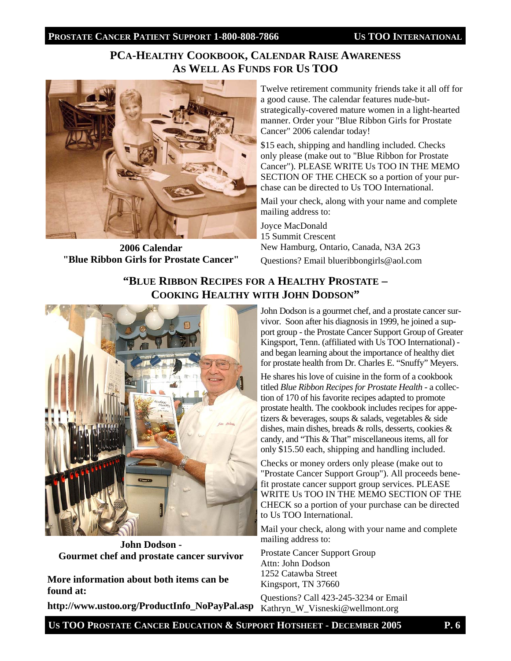## **PCA-HEALTHY COOKBOOK, CALENDAR RAISE AWARENESS AS WELL AS FUNDS FOR US TOO**



**2006 Calendar "Blue Ribbon Girls for Prostate Cancer"**

Twelve retirement community friends take it all off for a good cause. The calendar features nude-butstrategically-covered mature women in a light-hearted manner. Order your "Blue Ribbon Girls for Prostate Cancer" 2006 calendar today!

\$15 each, shipping and handling included. Checks only please (make out to "Blue Ribbon for Prostate Cancer"). PLEASE WRITE Us TOO IN THE MEMO SECTION OF THE CHECK so a portion of your purchase can be directed to Us TOO International.

Mail your check, along with your name and complete mailing address to:

Joyce MacDonald 15 Summit Crescent New Hamburg, Ontario, Canada, N3A 2G3

Questions? Email blueribbongirls@aol.com

## **"BLUE RIBBON RECIPES FOR A HEALTHY PROSTATE – COOKING HEALTHY WITH JOHN DODSON"**



**John Dodson - Gourmet chef and prostate cancer survivor** 

**More information about both items can be found at:** 

**http://www.ustoo.org/ProductInfo\_NoPayPal.asp** 

John Dodson is a gourmet chef, and a prostate cancer survivor. Soon after his diagnosis in 1999, he joined a support group - the Prostate Cancer Support Group of Greater Kingsport, Tenn. (affiliated with Us TOO International) and began learning about the importance of healthy diet for prostate health from Dr. Charles E. "Snuffy" Meyers.

He shares his love of cuisine in the form of a cookbook titled *Blue Ribbon Recipes for Prostate Health* - a collection of 170 of his favorite recipes adapted to promote prostate health. The cookbook includes recipes for appetizers & beverages, soups & salads, vegetables & side dishes, main dishes, breads & rolls, desserts, cookies & candy, and "This & That" miscellaneous items, all for only \$15.50 each, shipping and handling included.

Checks or money orders only please (make out to "Prostate Cancer Support Group"). All proceeds benefit prostate cancer support group services. PLEASE WRITE Us TOO IN THE MEMO SECTION OF THE CHECK so a portion of your purchase can be directed to Us TOO International.

Mail your check, along with your name and complete mailing address to:

Prostate Cancer Support Group Attn: John Dodson 1252 Catawba Street Kingsport, TN 37660

Questions? Call 423-245-3234 or Email Kathryn\_W\_Visneski@wellmont.org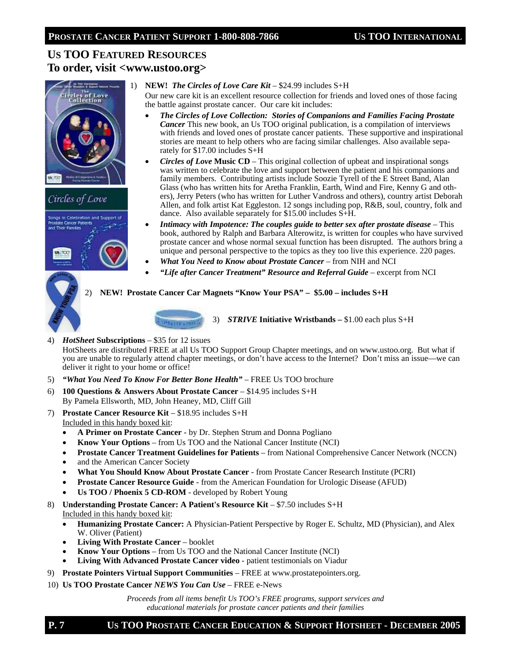## **US TOO FEATURED RESOURCES To order, visit <www.ustoo.org>**





#### 1) **NEW!** *The Circles of Love Care Kit* – \$24.99 includes S+H

Our new care kit is an excellent resource collection for friends and loved ones of those facing the battle against prostate cancer. Our care kit includes:

- *The Circles of Love Collection: Stories of Companions and Families Facing Prostate Cancer* This new book, an Us TOO original publication, is a compilation of interviews with friends and loved ones of prostate cancer patients. These supportive and inspirational stories are meant to help others who are facing similar challenges. Also available separately for \$17.00 includes S+H
- *Circles of Love* **Music CD**This original collection of upbeat and inspirational songs was written to celebrate the love and support between the patient and his companions and family members. Contributing artists include Soozie Tyrell of the E Street Band, Alan Glass (who has written hits for Aretha Franklin, Earth, Wind and Fire, Kenny G and others), Jerry Peters (who has written for Luther Vandross and others), country artist Deborah Allen, and folk artist Kat Eggleston. 12 songs including pop, R&B, soul, country, folk and dance. Also available separately for \$15.00 includes S+H.
- *Intimacy with Impotence: The couples guide to better sex after prostate disease* This book, authored by Ralph and Barbara Alterowitz, is written for couples who have survived prostate cancer and whose normal sexual function has been disrupted. The authors bring a unique and personal perspective to the topics as they too live this experience. 220 pages.
- *What You Need to Know about Prostate Cancer* from NIH and NCI
- *"Life after Cancer Treatment" Resource and Referral Guide* excerpt from NCI

#### 2) **NEW! Prostate Cancer Car Magnets "Know Your PSA" – \$5.00 – includes S+H**



3) *STRIVE* **Initiative Wristbands –** \$1.00 each plus S+H

4) *HotSheet* **Subscriptions** – \$35 for 12 issues

HotSheets are distributed FREE at all Us TOO Support Group Chapter meetings, and on www.ustoo.org. But what if you are unable to regularly attend chapter meetings, or don't have access to the Internet? Don't miss an issue—we can deliver it right to your home or office!

- 5) *"What You Need To Know For Better Bone Health"* FREE Us TOO brochure
- 6) **100 Questions & Answers About Prostate Cancer**  \$14.95 includes S+H By Pamela Ellsworth, MD, John Heaney, MD, Cliff Gill
- 7) **Prostate Cancer Resource Kit** \$18.95 includes S+H Included in this handy boxed kit:
	- **A Primer on Prostate Cancer**  by Dr. Stephen Strum and Donna Pogliano
	- **Know Your Options**  from Us TOO and the National Cancer Institute (NCI)
	- **Prostate Cancer Treatment Guidelines for Patients**  from National Comprehensive Cancer Network (NCCN)
	- and the American Cancer Society
	- **What You Should Know About Prostate Cancer**  from Prostate Cancer Research Institute (PCRI)
	- **Prostate Cancer Resource Guide**  from the American Foundation for Urologic Disease (AFUD)
	- **Us TOO / Phoenix 5 CD-ROM**  developed by Robert Young
- 8) **Understanding Prostate Cancer: A Patient's Resource Kit \$7.50 includes S+H** Included in this handy boxed kit:
	- **Humanizing Prostate Cancer:** A Physician-Patient Perspective by Roger E. Schultz, MD (Physician), and Alex W. Oliver (Patient)
	- **Living With Prostate Cancer**  booklet
	- **Know Your Options**  from Us TOO and the National Cancer Institute (NCI)
	- **Living With Advanced Prostate Cancer video**  patient testimonials on Viadur
- 9) **Prostate Pointers Virtual Support Communities**  FREE at www.prostatepointers.org.
- 10) **Us TOO Prostate Cancer** *NEWS You Can Use* FREE e-News

*Proceeds from all items benefit Us TOO's FREE programs, support services and educational materials for prostate cancer patients and their families*